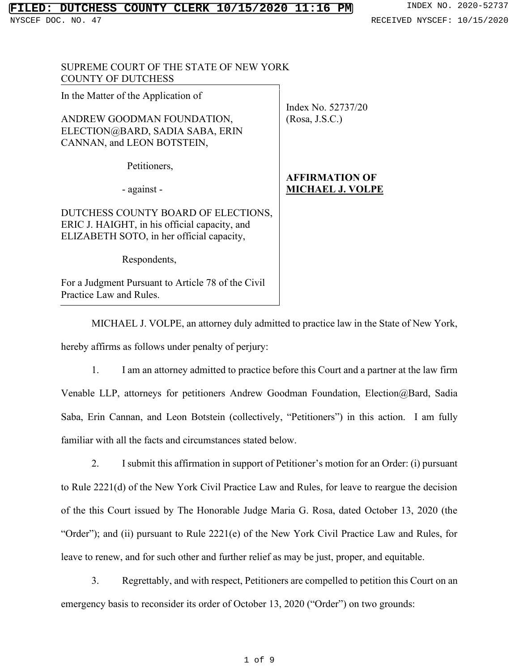NYSCEF DOC. NO. 47 RECEIVED NYSCEF: 10/15/2020

| SUPREME COURT OF THE STATE OF NEW YORK<br><b>COUNTY OF DUTCHESS</b>                                                               |                                                  |
|-----------------------------------------------------------------------------------------------------------------------------------|--------------------------------------------------|
| In the Matter of the Application of                                                                                               | Index No. 52737/20                               |
| ANDREW GOODMAN FOUNDATION,<br>ELECTION@BARD, SADIA SABA, ERIN<br>CANNAN, and LEON BOTSTEIN,                                       | (Rosa, J.S.C.)                                   |
| Petitioners,                                                                                                                      |                                                  |
| - against -                                                                                                                       | <b>AFFIRMATION OF</b><br><b>MICHAEL J. VOLPE</b> |
| DUTCHESS COUNTY BOARD OF ELECTIONS,<br>ERIC J. HAIGHT, in his official capacity, and<br>ELIZABETH SOTO, in her official capacity, |                                                  |
| Respondents,                                                                                                                      |                                                  |
| For a Judgment Pursuant to Article 78 of the Civil<br>Practice Law and Rules.                                                     |                                                  |
| MICHAEL J. VOLPE, an attorney duly admitted to practice law in the St                                                             |                                                  |

tate of New York, hereby affirms as follows under penalty of perjury:

1. I am an attorney admitted to practice before this Court and a partner at the law firm Venable LLP, attorneys for petitioners Andrew Goodman Foundation, Election@Bard, Sadia Saba, Erin Cannan, and Leon Botstein (collectively, "Petitioners") in this action. I am fully familiar with all the facts and circumstances stated below.

2. I submit this affirmation in support of Petitioner's motion for an Order: (i) pursuant to Rule 2221(d) of the New York Civil Practice Law and Rules, for leave to reargue the decision of the this Court issued by The Honorable Judge Maria G. Rosa, dated October 13, 2020 (the "Order"); and (ii) pursuant to Rule 2221(e) of the New York Civil Practice Law and Rules, for leave to renew, and for such other and further relief as may be just, proper, and equitable.

3. Regrettably, and with respect, Petitioners are compelled to petition this Court on an emergency basis to reconsider its order of October 13, 2020 ("Order") on two grounds: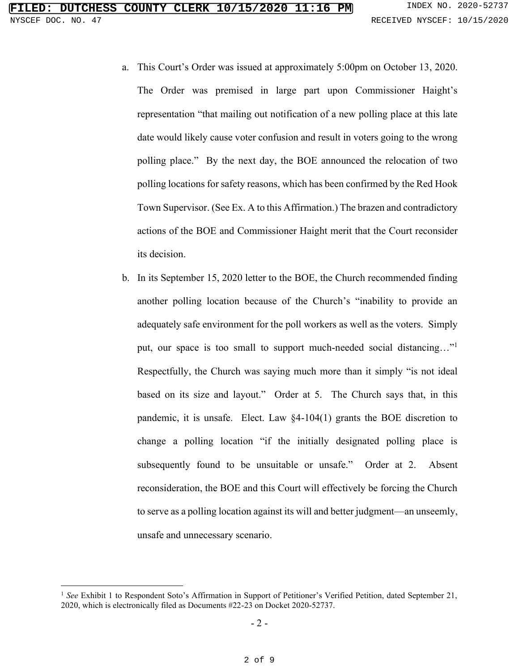- a. This Court's Order was issued at approximately 5:00pm on October 13, 2020. The Order was premised in large part upon Commissioner Haight's representation "that mailing out notification of a new polling place at this late date would likely cause voter confusion and result in voters going to the wrong polling place." By the next day, the BOE announced the relocation of two polling locations for safety reasons, which has been confirmed by the Red Hook Town Supervisor. (See Ex. A to this Affirmation.) The brazen and contradictory actions of the BOE and Commissioner Haight merit that the Court reconsider its decision.
- b. In its September 15, 2020 letter to the BOE, the Church recommended finding another polling location because of the Church's "inability to provide an adequately safe environment for the poll workers as well as the voters. Simply put, our space is too small to support much-needed social distancing..."<sup>1</sup> Respectfully, the Church was saying much more than it simply "is not ideal based on its size and layout." Order at 5. The Church says that, in this pandemic, it is unsafe. Elect. Law §4-104(1) grants the BOE discretion to change a polling location "if the initially designated polling place is subsequently found to be unsuitable or unsafe." Order at 2. Absent reconsideration, the BOE and this Court will effectively be forcing the Church to serve as a polling location against its will and better judgment—an unseemly, unsafe and unnecessary scenario.

<sup>&</sup>lt;sup>1</sup> See Exhibit 1 to Respondent Soto's Affirmation in Support of Petitioner's Verified Petition, dated September 21, 2020, which is electronically filed as Documents #22-23 on Docket 2020-52737.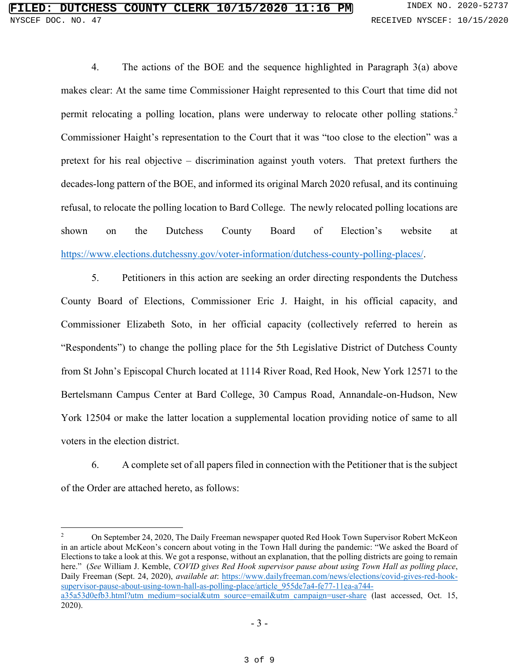4. The actions of the BOE and the sequence highlighted in Paragraph 3(a) above makes clear: At the same time Commissioner Haight represented to this Court that time did not permit relocating a polling location, plans were underway to relocate other polling stations.<sup>2</sup> Commissioner Haight's representation to the Court that it was "too close to the election" was a pretext for his real objective – discrimination against youth voters. That pretext furthers the decades-long pattern of the BOE, and informed its original March 2020 refusal, and its continuing refusal, to relocate the polling location to Bard College. The newly relocated polling locations are shown on the Dutchess County Board of Election's website at [https://www.elections.dutchessny.gov/voter-information/dutchess-county-polling-places/.](https://www.elections.dutchessny.gov/voter-information/dutchess-county-polling-places/)

5. Petitioners in this action are seeking an order directing respondents the Dutchess County Board of Elections, Commissioner Eric J. Haight, in his official capacity, and Commissioner Elizabeth Soto, in her official capacity (collectively referred to herein as "Respondents") to change the polling place for the 5th Legislative District of Dutchess County from St John's Episcopal Church located at 1114 River Road, Red Hook, New York 12571 to the Bertelsmann Campus Center at Bard College, 30 Campus Road, Annandale-on-Hudson, New York 12504 or make the latter location a supplemental location providing notice of same to all voters in the election district.

6. A complete set of all papers filed in connection with the Petitioner that is the subject of the Order are attached hereto, as follows:

<sup>2</sup> On September 24, 2020, The Daily Freeman newspaper quoted Red Hook Town Supervisor Robert McKeon in an article about McKeon's concern about voting in the Town Hall during the pandemic: "We asked the Board of Elections to take a look at this. We got a response, without an explanation, that the polling districts are going to remain here." (*See* William J. Kemble, *COVID gives Red Hook supervisor pause about using Town Hall as polling place*, Daily Freeman (Sept. 24, 2020), *available at*: [https://www.dailyfreeman.com/news/elections/covid-gives-red-hook](https://www.dailyfreeman.com/news/elections/covid-gives-red-hook-supervisor-pause-about-using-town-hall-as-polling-place/article_955de7a4-fe77-11ea-a744-a35a53d0efb3.html?utm_medium=social&utm_source=email&utm_campaign=user-share)[supervisor-pause-about-using-town-hall-as-polling-place/article\\_955de7a4-fe77-11ea-a744](https://www.dailyfreeman.com/news/elections/covid-gives-red-hook-supervisor-pause-about-using-town-hall-as-polling-place/article_955de7a4-fe77-11ea-a744-a35a53d0efb3.html?utm_medium=social&utm_source=email&utm_campaign=user-share) [a35a53d0efb3.html?utm\\_medium=social&utm\\_source=email&utm\\_campaign=user-share](https://www.dailyfreeman.com/news/elections/covid-gives-red-hook-supervisor-pause-about-using-town-hall-as-polling-place/article_955de7a4-fe77-11ea-a744-a35a53d0efb3.html?utm_medium=social&utm_source=email&utm_campaign=user-share) (last accessed, Oct. 15, 2020).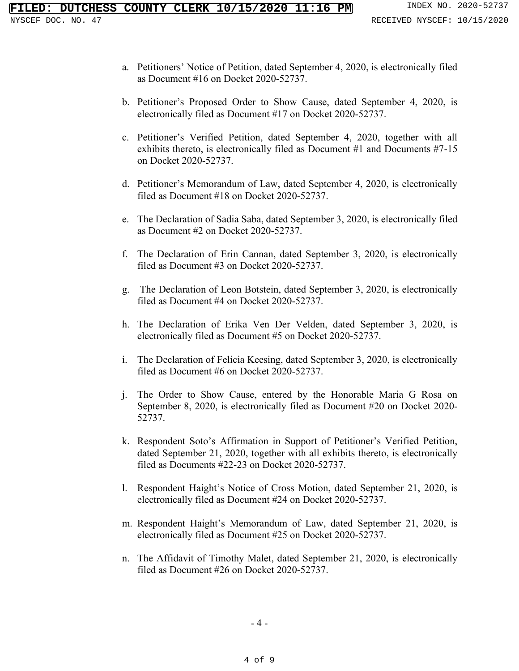- a. Petitioners' Notice of Petition, dated September 4, 2020, is electronically filed as Document #16 on Docket 2020-52737.
- b. Petitioner's Proposed Order to Show Cause, dated September 4, 2020, is electronically filed as Document #17 on Docket 2020-52737.
- c. Petitioner's Verified Petition, dated September 4, 2020, together with all exhibits thereto, is electronically filed as Document #1 and Documents #7-15 on Docket 2020-52737.
- d. Petitioner's Memorandum of Law, dated September 4, 2020, is electronically filed as Document #18 on Docket 2020-52737.
- e. The Declaration of Sadia Saba, dated September 3, 2020, is electronically filed as Document #2 on Docket 2020-52737.
- f. The Declaration of Erin Cannan, dated September 3, 2020, is electronically filed as Document #3 on Docket 2020-52737.
- g. The Declaration of Leon Botstein, dated September 3, 2020, is electronically filed as Document #4 on Docket 2020-52737.
- h. The Declaration of Erika Ven Der Velden, dated September 3, 2020, is electronically filed as Document #5 on Docket 2020-52737.
- i. The Declaration of Felicia Keesing, dated September 3, 2020, is electronically filed as Document #6 on Docket 2020-52737.
- j. The Order to Show Cause, entered by the Honorable Maria G Rosa on September 8, 2020, is electronically filed as Document #20 on Docket 2020- 52737.
- k. Respondent Soto's Affirmation in Support of Petitioner's Verified Petition, dated September 21, 2020, together with all exhibits thereto, is electronically filed as Documents #22-23 on Docket 2020-52737.
- l. Respondent Haight's Notice of Cross Motion, dated September 21, 2020, is electronically filed as Document #24 on Docket 2020-52737.
- m. Respondent Haight's Memorandum of Law, dated September 21, 2020, is electronically filed as Document #25 on Docket 2020-52737.
- n. The Affidavit of Timothy Malet, dated September 21, 2020, is electronically filed as Document #26 on Docket 2020-52737.

- 4 -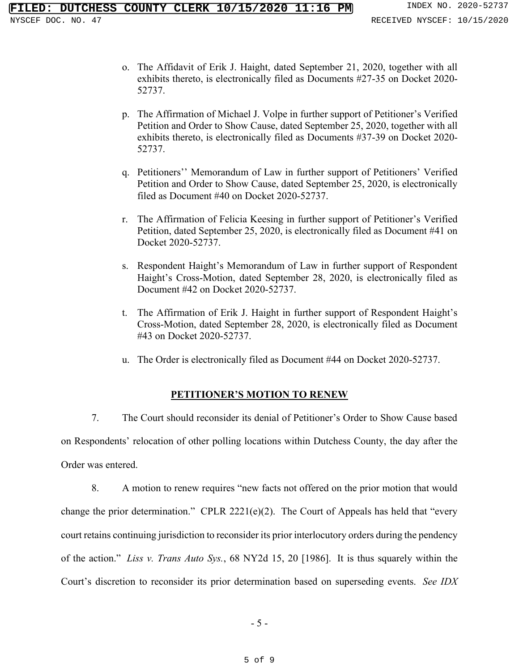- o. The Affidavit of Erik J. Haight, dated September 21, 2020, together with all exhibits thereto, is electronically filed as Documents #27-35 on Docket 2020- 52737.
- p. The Affirmation of Michael J. Volpe in further support of Petitioner's Verified Petition and Order to Show Cause, dated September 25, 2020, together with all exhibits thereto, is electronically filed as Documents #37-39 on Docket 2020- 52737.
- q. Petitioners'' Memorandum of Law in further support of Petitioners' Verified Petition and Order to Show Cause, dated September 25, 2020, is electronically filed as Document #40 on Docket 2020-52737.
- r. The Affirmation of Felicia Keesing in further support of Petitioner's Verified Petition, dated September 25, 2020, is electronically filed as Document #41 on Docket 2020-52737.
- s. Respondent Haight's Memorandum of Law in further support of Respondent Haight's Cross-Motion, dated September 28, 2020, is electronically filed as Document #42 on Docket 2020-52737.
- t. The Affirmation of Erik J. Haight in further support of Respondent Haight's Cross-Motion, dated September 28, 2020, is electronically filed as Document #43 on Docket 2020-52737.
- u. The Order is electronically filed as Document #44 on Docket 2020-52737.

## **PETITIONER'S MOTION TO RENEW**

7. The Court should reconsider its denial of Petitioner's Order to Show Cause based on Respondents' relocation of other polling locations within Dutchess County, the day after the Order was entered.

8. A motion to renew requires "new facts not offered on the prior motion that would change the prior determination." CPLR 2221(e)(2). The Court of Appeals has held that "every court retains continuing jurisdiction to reconsider its prior interlocutory orders during the pendency of the action." *Liss v. Trans Auto Sys.*, 68 NY2d 15, 20 [1986]. It is thus squarely within the Court's discretion to reconsider its prior determination based on superseding events. *See IDX*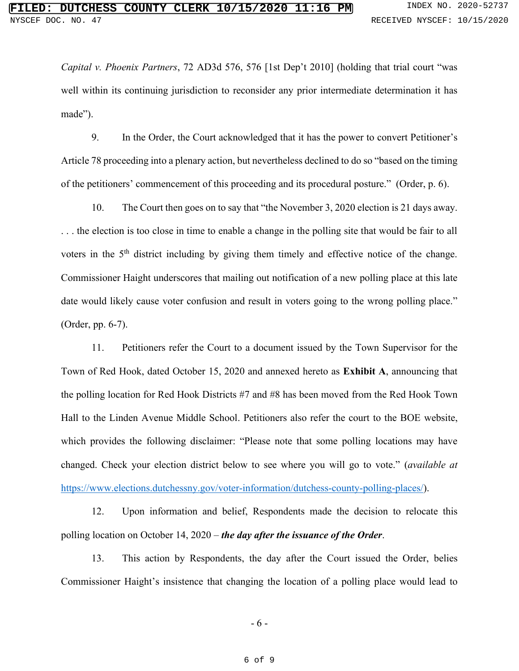*Capital v. Phoenix Partners*, 72 AD3d 576, 576 [1st Dep't 2010] (holding that trial court "was well within its continuing jurisdiction to reconsider any prior intermediate determination it has made").

9. In the Order, the Court acknowledged that it has the power to convert Petitioner's Article 78 proceeding into a plenary action, but nevertheless declined to do so "based on the timing of the petitioners' commencement of this proceeding and its procedural posture." (Order, p. 6).

10. The Court then goes on to say that "the November 3, 2020 election is 21 days away. . . . the election is too close in time to enable a change in the polling site that would be fair to all voters in the 5<sup>th</sup> district including by giving them timely and effective notice of the change. Commissioner Haight underscores that mailing out notification of a new polling place at this late date would likely cause voter confusion and result in voters going to the wrong polling place." (Order, pp. 6-7).

11. Petitioners refer the Court to a document issued by the Town Supervisor for the Town of Red Hook, dated October 15, 2020 and annexed hereto as **Exhibit A**, announcing that the polling location for Red Hook Districts #7 and #8 has been moved from the Red Hook Town Hall to the Linden Avenue Middle School. Petitioners also refer the court to the BOE website, which provides the following disclaimer: "Please note that some polling locations may have changed. Check your election district below to see where you will go to vote." (*available at* [https://www.elections.dutchessny.gov/voter-information/dutchess-county-polling-places/\)](https://www.elections.dutchessny.gov/voter-information/dutchess-county-polling-places/).

12. Upon information and belief, Respondents made the decision to relocate this polling location on October 14, 2020 – *the day after the issuance of the Order*.

13. This action by Respondents, the day after the Court issued the Order, belies Commissioner Haight's insistence that changing the location of a polling place would lead to

- 6 -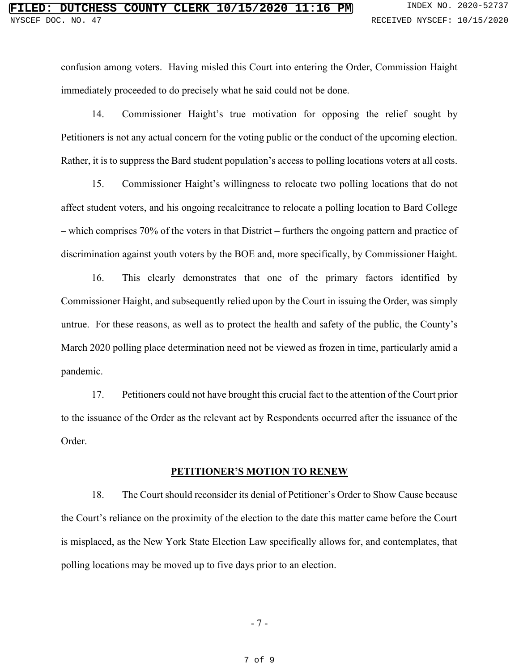confusion among voters. Having misled this Court into entering the Order, Commission Haight immediately proceeded to do precisely what he said could not be done.

14. Commissioner Haight's true motivation for opposing the relief sought by Petitioners is not any actual concern for the voting public or the conduct of the upcoming election. Rather, it is to suppress the Bard student population's access to polling locations voters at all costs.

15. Commissioner Haight's willingness to relocate two polling locations that do not affect student voters, and his ongoing recalcitrance to relocate a polling location to Bard College – which comprises 70% of the voters in that District – furthers the ongoing pattern and practice of discrimination against youth voters by the BOE and, more specifically, by Commissioner Haight.

16. This clearly demonstrates that one of the primary factors identified by Commissioner Haight, and subsequently relied upon by the Court in issuing the Order, was simply untrue. For these reasons, as well as to protect the health and safety of the public, the County's March 2020 polling place determination need not be viewed as frozen in time, particularly amid a pandemic.

17. Petitioners could not have brought this crucial fact to the attention of the Court prior to the issuance of the Order as the relevant act by Respondents occurred after the issuance of the Order.

## **PETITIONER'S MOTION TO RENEW**

18. The Court should reconsider its denial of Petitioner's Order to Show Cause because the Court's reliance on the proximity of the election to the date this matter came before the Court is misplaced, as the New York State Election Law specifically allows for, and contemplates, that polling locations may be moved up to five days prior to an election.

- 7 -

7 of 9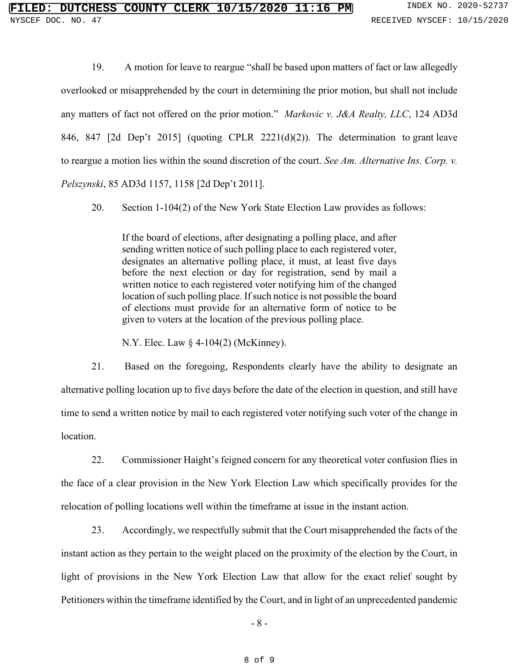19. A motion for leave to reargue "shall be based upon matters of fact or law allegedly overlooked or misapprehended by the court in determining the prior motion, but shall not include any matters of fact not offered on the prior motion." *Markovic v. J&A Realty, LLC*, 124 AD3d 846, 847 [2d Dep't 2015] (quoting CPLR 2221(d)(2)). The determination to grant leave to reargue a motion lies within the sound discretion of the court. *See Am. Alternative Ins. Corp. v. Pelszynski*, 85 AD3d 1157, 1158 [2d Dep't 2011].

20. Section 1-104(2) of the New York State Election Law provides as follows:

If the board of elections, after designating a polling place, and after sending written notice of such polling place to each registered voter, designates an alternative polling place, it must, at least five days before the next election or day for registration, send by mail a written notice to each registered voter notifying him of the changed location of such polling place. If such notice is not possible the board of elections must provide for an alternative form of notice to be given to voters at the location of the previous polling place.

N.Y. Elec. Law § 4-104(2) (McKinney).

21. Based on the foregoing, Respondents clearly have the ability to designate an alternative polling location up to five days before the date of the election in question, and still have time to send a written notice by mail to each registered voter notifying such voter of the change in location.

22. Commissioner Haight's feigned concern for any theoretical voter confusion flies in the face of a clear provision in the New York Election Law which specifically provides for the relocation of polling locations well within the timeframe at issue in the instant action.

23. Accordingly, we respectfully submit that the Court misapprehended the facts of the instant action as they pertain to the weight placed on the proximity of the election by the Court, in light of provisions in the New York Election Law that allow for the exact relief sought by Petitioners within the timeframe identified by the Court, and in light of an unprecedented pandemic

- 8 -